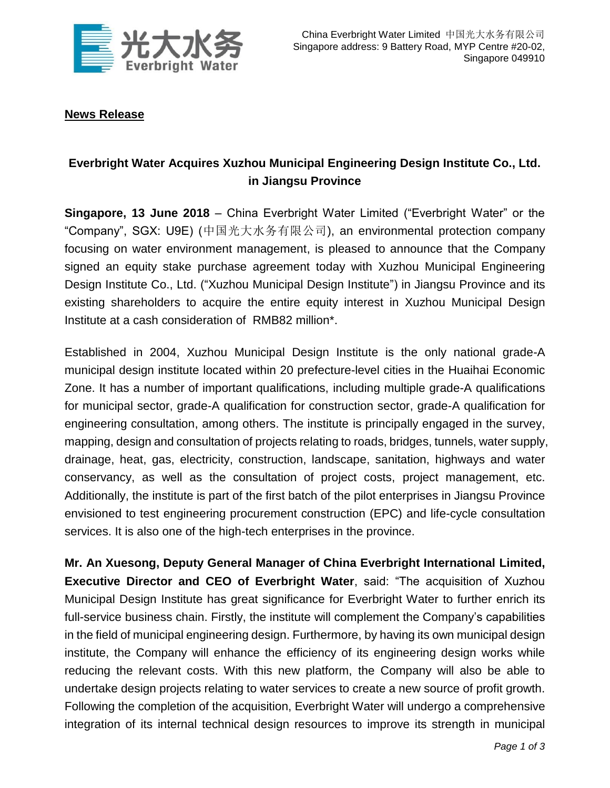

## **News Release**

# **Everbright Water Acquires Xuzhou Municipal Engineering Design Institute Co., Ltd. in Jiangsu Province**

**Singapore, 13 June 2018** – China Everbright Water Limited ("Everbright Water" or the "Company", SGX: U9E) (中国光大水务有限公司), an environmental protection company focusing on water environment management, is pleased to announce that the Company signed an equity stake purchase agreement today with Xuzhou Municipal Engineering Design Institute Co., Ltd. ("Xuzhou Municipal Design Institute") in Jiangsu Province and its existing shareholders to acquire the entire equity interest in Xuzhou Municipal Design Institute at a cash consideration of RMB82 million\*.

Established in 2004, Xuzhou Municipal Design Institute is the only national grade-A municipal design institute located within 20 prefecture-level cities in the Huaihai Economic Zone. It has a number of important qualifications, including multiple grade-A qualifications for municipal sector, grade-A qualification for construction sector, grade-A qualification for engineering consultation, among others. The institute is principally engaged in the survey, mapping, design and consultation of projects relating to roads, bridges, tunnels, water supply, drainage, heat, gas, electricity, construction, landscape, sanitation, highways and water conservancy, as well as the consultation of project costs, project management, etc. Additionally, the institute is part of the first batch of the pilot enterprises in Jiangsu Province envisioned to test engineering procurement construction (EPC) and life-cycle consultation services. It is also one of the high-tech enterprises in the province.

**Mr. An Xuesong, Deputy General Manager of China Everbright International Limited, Executive Director and CEO of Everbright Water**, said: "The acquisition of Xuzhou Municipal Design Institute has great significance for Everbright Water to further enrich its full-service business chain. Firstly, the institute will complement the Company's capabilities in the field of municipal engineering design. Furthermore, by having its own municipal design institute, the Company will enhance the efficiency of its engineering design works while reducing the relevant costs. With this new platform, the Company will also be able to undertake design projects relating to water services to create a new source of profit growth. Following the completion of the acquisition, Everbright Water will undergo a comprehensive integration of its internal technical design resources to improve its strength in municipal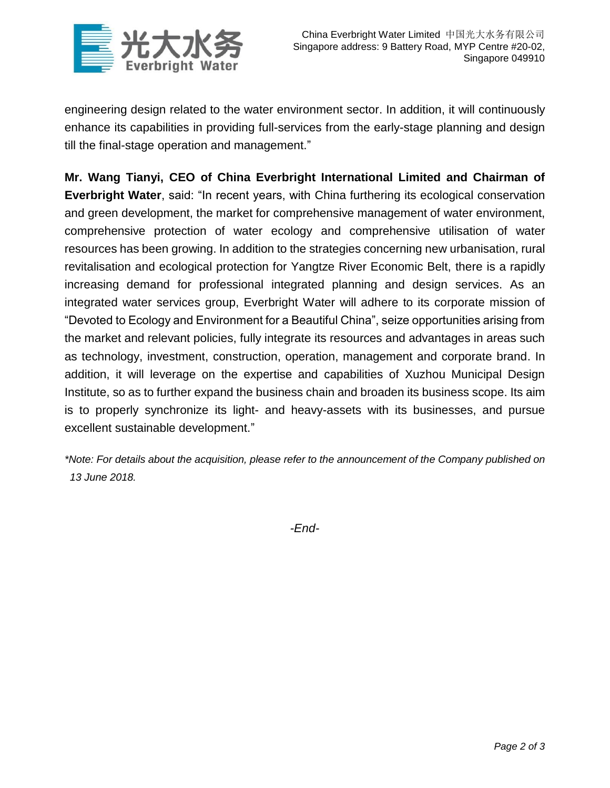

engineering design related to the water environment sector. In addition, it will continuously enhance its capabilities in providing full-services from the early-stage planning and design till the final-stage operation and management."

**Mr. Wang Tianyi, CEO of China Everbright International Limited and Chairman of Everbright Water**, said: "In recent years, with China furthering its ecological conservation and green development, the market for comprehensive management of water environment, comprehensive protection of water ecology and comprehensive utilisation of water resources has been growing. In addition to the strategies concerning new urbanisation, rural revitalisation and ecological protection for Yangtze River Economic Belt, there is a rapidly increasing demand for professional integrated planning and design services. As an integrated water services group, Everbright Water will adhere to its corporate mission of "Devoted to Ecology and Environment for a Beautiful China", seize opportunities arising from the market and relevant policies, fully integrate its resources and advantages in areas such as technology, investment, construction, operation, management and corporate brand. In addition, it will leverage on the expertise and capabilities of Xuzhou Municipal Design Institute, so as to further expand the business chain and broaden its business scope. Its aim is to properly synchronize its light- and heavy-assets with its businesses, and pursue excellent sustainable development."

*\*Note: For details about the acquisition, please refer to the announcement of the Company published on 13 June 2018.*

*-End-*